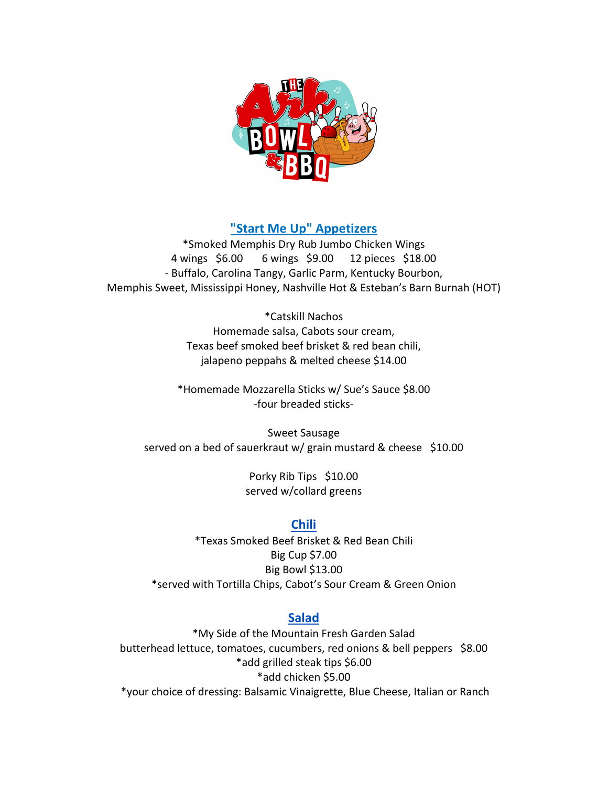

# **"Start Me Up" Appetizers**

\*Smoked Memphis Dry Rub Jumbo Chicken Wings 4 wings \$6.00 6 wings \$9.00 12 pieces \$18.00 - Buffalo, Carolina Tangy, Garlic Parm, Kentucky Bourbon, Memphis Sweet, Mississippi Honey, Nashville Hot & Esteban's Barn Burnah (HOT)

> \*Catskill Nachos Homemade salsa, Cabots sour cream, Texas beef smoked beef brisket & red bean chili, jalapeno peppahs & melted cheese \$14.00

\*Homemade Mozzarella Sticks w/ Sue's Sauce \$8.00 -four breaded sticks-

Sweet Sausage served on a bed of sauerkraut w/ grain mustard & cheese \$10.00

> Porky Rib Tips \$10.00 served w/collard greens

# **Chili**

\*Texas Smoked Beef Brisket & Red Bean Chili Big Cup \$7.00 Big Bowl \$13.00 \*served with Tortilla Chips, Cabot's Sour Cream & Green Onion

# **Salad**

\*My Side of the Mountain Fresh Garden Salad butterhead lettuce, tomatoes, cucumbers, red onions & bell peppers \$8.00 \*add grilled steak tips \$6.00 \*add chicken \$5.00 \*your choice of dressing: Balsamic Vinaigrette, Blue Cheese, Italian or Ranch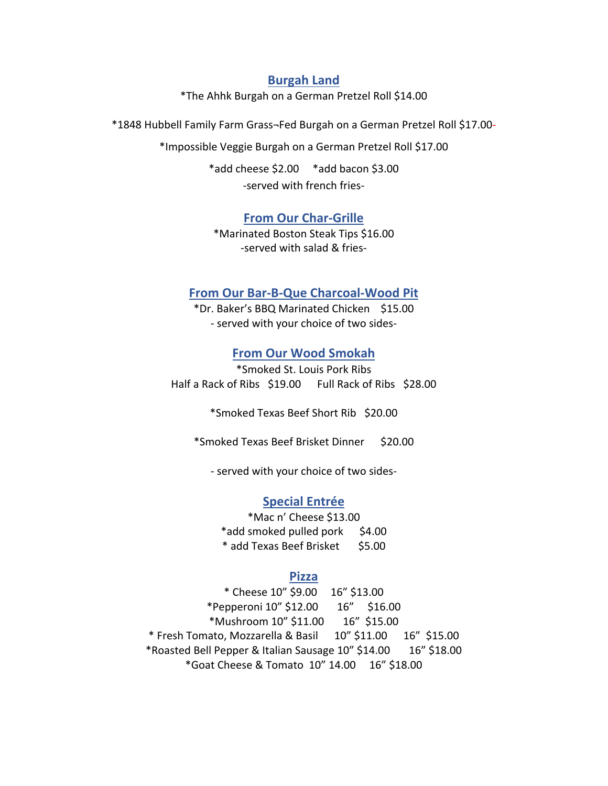### **Burgah Land**

\*The Ahhk Burgah on a German Pretzel Roll \$14.00

\*1848 Hubbell Family Farm Grass¬Fed Burgah on a German Pretzel Roll \$17.00-

\*Impossible Veggie Burgah on a German Pretzel Roll \$17.00

\*add cheese \$2.00 \*add bacon \$3.00 -served with french fries-

### **From Our Char-Grille**

\*Marinated Boston Steak Tips \$16.00 -served with salad & fries-

## **From Our Bar-B-Que Charcoal-Wood Pit**

\*Dr. Baker's BBQ Marinated Chicken \$15.00 - served with your choice of two sides-

### **From Our Wood Smokah**

\*Smoked St. Louis Pork Ribs Half a Rack of Ribs \$19.00 Full Rack of Ribs \$28.00

\*Smoked Texas Beef Short Rib \$20.00

\*Smoked Texas Beef Brisket Dinner \$20.00

- served with your choice of two sides-

#### **Special Entrée**

\*Mac n' Cheese \$13.00 \*add smoked pulled pork \$4.00 \* add Texas Beef Brisket \$5.00

#### **Pizza**

\* Cheese 10" \$9.00 16" \$13.00 \*Pepperoni 10" \$12.00 16" \$16.00 \*Mushroom 10" \$11.00 16" \$15.00 \* Fresh Tomato, Mozzarella & Basil 10" \$11.00 16" \$15.00 \*Roasted Bell Pepper & Italian Sausage 10" \$14.00 16" \$18.00 \*Goat Cheese & Tomato 10" 14.00 16" \$18.00